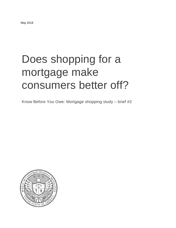# Does shopping for a mortgage make consumers better off?

Know Before You Owe: Mortgage shopping study – brief #2

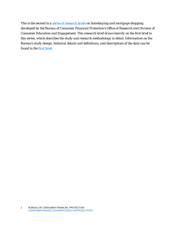*This is the second in a [series of research briefs](https://www.consumerfinance.gov/data-research/research-reports/know-before-you-owe-mortgage-shopping-study/) on homebuying and mortgage shopping developed by the Bureau of Consumer Financial Protection's Office of Research and Division of Consumer Education and Engagement. This research brief draws heavily on the first brief in this series, which describes the study and research methodology in detail. Information on the Bureau's study design, technical details and definitions, and descriptions of the data can be found in the [first brief.](https://files.consumerfinance.gov/f/documents/bcfp_mortgages_shopping-study_brief-1-methodology.pdf)*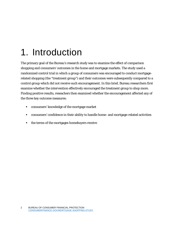# 1. Introduction

The primary goal of the Bureau's research study was to examine the effect of comparison shopping and consumers' outcomes in the home and mortgage markets. The study used a randomized control trial in which a group of consumers was encouraged to conduct mortgagerelated shopping (the "treatment group") and their outcomes were subsequently compared to a control group which did not receive such encouragement. In this brief, Bureau researchers first examine whether the intervention effectively encouraged the treatment group to shop more. Finding positive results, reseachers then examined whether the encouragement affected any of the three key outcome measures:

- consumers' knowledge of the mortgage market
- consumers' confidence in their ability to handle home- and mortgage-related activities
- the terms of the mortgages homebuyers receive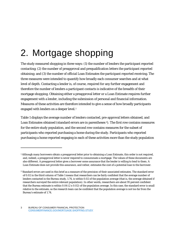# 2. Mortgage shopping

The study measured shopping in three ways: (1) the number of lenders the participant reported contacting; (2) the number of preapproval and prequalification letters the participant reported obtaining; and (3) the number of official Loan Estimates the participant reported receiving. The three measures were intended to quantify how broadly each consumer searches and at what level of depth. Contacting a lender is, of course, required for any further engagement and therefore the number of lenders a participant contacts is indicative of the breadth of their mortgage shopping. Obtaining either a preapproval letter or a Loan Estimate requires further engagement with a lender, including the submission of personal and financial information. Measures of these activities are therefore intended to give a sense of how broadly participants engaged with lenders on a deeper level.<sup>[1](#page-3-0)</sup>

Table 1 displays the average number of lenders contacted, pre-approval letters obtained, and Loan Estimates obtained (standard errors are in parentheses<sup>2</sup>). The first row contains measures for the entire study population, and the second row contains measures for the subset of participants who reported purchasing a home during the study. Participants who reported purchasing a home reported engaging in each of these activities more than the study population

<span id="page-3-0"></span><sup>1</sup> Although many borrowers obtain a preapproval letter prior to obtaining a Loan Estimate, this order is not required, and, indeed, a preapproval letter is never required to consummate a mortgage. The values of these documents are also different. A preapproval letter gives a borrower some assurance that the lender is willing to lend to them. A Loan Estimate does not provide this assurance, and rather, estimates the cost of a potential loan to the borrower.

<span id="page-3-1"></span><sup>2</sup> Standard errors are used in this brief as a measure of the precision of their associated estimates. The standard error of 0.02 in the third column of Table 1 means that researchers can be fairly confident that the average number of lenders contacted in the Bureau study, 1.74, is within 0.02 of the population average (that is, the average obtained if researchers surveyed the entire relevant population). In other words, researchers are about 95 percent confident that the Bureau estimate is within  $0.04$  (2 x  $0.02$ ) of the population average. In this case, the standard error is small relative to the estimate, so the research team can be confident that the population average is not too far from the Bureau's estimate of 1.74.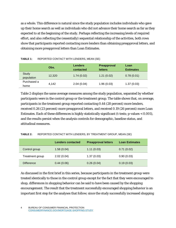as a whole. This difference is natural since the study population includes individuals who gave up their home search as well as individuals who did not advance their home search as far as they expected to at the beginning of the study. Perhaps reflecting the increasing levels of required effort, and also reflecting the (essentially) sequential relationship of the activities, both rows show that participants reported contacting more lenders than obtaining preapproval letters, and obtaining more preapproval letters than Loan Estimates.

|                     | Obs.   | <b>Lenders</b><br>contacted | Preapproval<br><b>letters</b> | Loan<br><b>Estimates</b> |
|---------------------|--------|-----------------------------|-------------------------------|--------------------------|
| Study<br>population | 12.320 | 1.74(0.02)                  | 1.21(0.02)                    | 0.78(0.01)               |
| Purchased a<br>home | 4,142  | 2.04(0.04)                  | 1.96(0.03)                    | 1.37(0.03)               |

| TABLE 1: | REPORTED CONTACT WITH LENDERS, MEAN (SE) |  |
|----------|------------------------------------------|--|
|----------|------------------------------------------|--|

Table 2 displays the same average measures among the study population, separated by whether participants were in the control group or the treatment group. The table shows that, on average, participants in the treatment group reported contacting 0.44 (28 percent) more lenders, received 0.26 (23 percent) more preapproval letters, and received 0.19 (26 percent) more Loan Estimates. Each of these differences is highly statistically significant (t-tests; p-values < 0.001), and the results persist when the analysis controls for demographic, baseline status, and attitudinal measures.

| TABLE 2: | REPORTED CONTACT WITH LENDERS, BY TREATMENT GROUP, MEAN (SE) |
|----------|--------------------------------------------------------------|
|          |                                                              |

|                   | <b>Lenders contacted</b> | <b>Preapproval letters</b> | <b>Loan Estimates</b> |
|-------------------|--------------------------|----------------------------|-----------------------|
| Control group     | 1.58(0.04)               | 1.11(0.03)                 | 0.71(0.02)            |
| Treatment group   | 2.02(0.04)               | 1.37(0.03)                 | 0.90(0.03)            |
| <b>Difference</b> | 0.44(0.06)               | 0.26(0.04)                 | 0.19(0.03)            |

As discussed in the first brief in this series, because participants in the treatment group were treated identically to those in the control group except for the fact that they were encouraged to shop, differences in shopping behavior can be said to have been caused by the shopping encouragement. The result that the treatment successfully encouraged shopping behavior is an important first step for the analyses that follow; since the study successfully increased shopping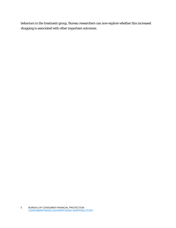behaviors in the treatment group, Bureau researchers can now explore whether this increased shopping is associated with other important outcomes.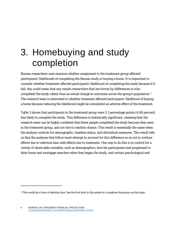### 3. Homebuying and study completion

Bureau researchers next examine whether assignment to the treatment group affected participants' likelihoods of completing the Bureau study or buying a home. It is important to consider whether treatment affected participants' likelihood of completing the study because if it did, this could mean that any results researchers find are driven by differences in *who completed the study* rather than an actual change in outcomes across the group's population[.3](#page-6-0) The research team is interested in whether treatment affected participants' likelihood of buying a home because reducing the likelihood might be considered an adverse effect of the treatment.

Table 3 shows that participants in the treatment group were 2.1 percentage points (4.68 percent) less likely to complete the study. This difference is statistically significant, meaning that the research team can be highly confident that fewer people completed the study *because* they were in the treatment group, and not due to random chance. This result is essentially the same when the analysis controls for demographic, baseline status, and attitudinal measures. This result tells us that the analyses that follow must attempt to account for this difference so as not to confuse effects due to selection bias with effects due to treatment. One way to do this is to control for a variety of observable variables, such as demographics, how far participants had progressed in their home and mortgage searches when they began the study, and certain psychological and

<span id="page-6-0"></span><sup>3</sup> This would be a form of selection bias. See the first brief in this series for a lengthier discussion on this topic.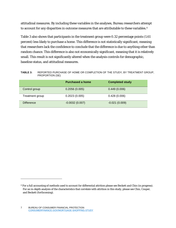attitudinal measures. By including these variables in the analyses, Bureau researchers attempt to account for any disparities in outcome measures that are attributable to these variables.<sup>[4](#page-7-0)</sup>

Table 3 also shows that participants in the treatment group were 0.32 percentage points (1.61 percent) less likely to purchase a home. This difference is not statistically significant, meaning that researchers lack the confidence to conclude that the difference is due to anything other than random chance. This difference is also not economically significant, meaning that it is relatively small. This result is not significantly altered when the analysis controls for demographic, baseline status, and attitudinal measures.

**TABLE 3:** REPORTED PURCHASE OF HOME OR COMPLETION OF THE STUDY, BY TREATMENT GROUP, PROPORTION (SE)

|                   | <b>Purchased a home</b> | <b>Completed study</b> |
|-------------------|-------------------------|------------------------|
| Control group     | 0.2056(0.005)           | 0.449(0.006)           |
| Treatment group   | 0.2023(0.005)           | 0.428(0.006)           |
| <b>Difference</b> | $-0.0032(0.007)$        | $-0.021(0.009)$        |

<span id="page-7-0"></span><sup>4</sup> For a full accounting of methods used to account for differential attrition please see Beckett and Chin (in progress). For an in-depth analysis of the characteristics that correlate with attrition in this study, please see Chin, Couper, and Beckett (forthcoming).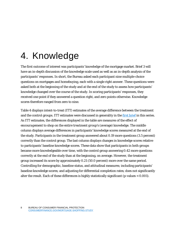### 4. Knowledge

The first outcome of interest was participants' knowledge of the mortgage market. Brief 3 will have an in-depth discussion of the knowledge scale used as well as an in-depth analysis of the participants' responses. In short, the Bureau asked each participant nine multiple-choice questions on mortgages and homebuying, each with a single right answer. These questions were asked both at the beginning of the study and at the end of the study to assess how participants' knowledge changed over the course of the study. In scoring participants' responses, they received one point if they answered a question right, and zero points otherwise. Knowledge scores therefore ranged from zero to nine.

Table 4 displays intent-to-treat (ITT) estimates of the average difference between the treatment and the control groups. ITT estimates were discussed in generality in the [first brief](https://files.consumerfinance.gov/f/documents/bcfp_mortgages_shopping-study_brief-1-methodology.pdf) in this series. As ITT estimates, the differences displayed in the table are measures of the effect of *encouragement to shop* on the *entire treatment group's* (average) knowledge. The middle column displays average differences in participants' knowledge scores measured at the end of the study. Participants in the treatment group answered about 0.19 more questions (3.5 percent) correctly than the control group. The last column displays changes in knowledge scores relative to participants' baseline knowledge scores. These data show that participants in both groups became more knowledgeable over time, with the control group answering 0.42 more questions correctly at the end of the study than at the beginning, on average. However, the treatment group increased its score by approximately 0.21 (50.0 percent) more over the same period. Controlling for demographic, baseline status, and attitudinal measures; including participants' baseline knowledge scores; and adjusting for differential completion rates; does not significantly alter the result. Each of these differences is highly statistically significant (p-values < 0.001).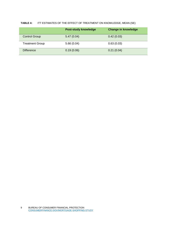#### **TABLE 4:** ITT ESTIMATES OF THE EFFECT OF TREATMENT ON KNOWLEDGE, MEAN (SE)

|                        | <b>Post-study knowledge</b> | <b>Change in knowledge</b> |
|------------------------|-----------------------------|----------------------------|
| <b>Control Group</b>   | 5.47(0.04)                  | 0.42(0.03)                 |
| <b>Treatment Group</b> | 5.66(0.04)                  | 0.63(0.03)                 |
| <b>Difference</b>      | 0.19(0.06)                  | 0.21(0.04)                 |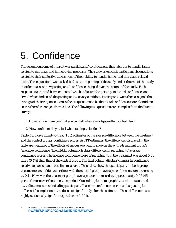### 5. Confidence

The second outcome of interest was participants' confidence in their abilities to handle issues related to mortgage and homebuying processes. The study asked each participant six questions related to their subjective assessment of their ability to handle home- and mortgage-related tasks. These questions were asked both at the beginning of the study and at the end of the study in order to assess how participants' confidence changed over the course of the study. Each response was scored between "zero," which indicated the participant lacked confidence, and "two," which indicated the participant was very confident. Participants were then assigned the average of their responses across the six questions to be their total confidence score. Confidence scores therefore ranged from 0 to 2. The following two questions are examples from the Bureau survey:

- 1. How confident are you that you can tell when a mortgage offer is a bad deal?
- 2. How confident do you feel when talking to lenders?

Table 5 displays intent-to-treat (ITT) estimates of the average difference between the treatment and the control groups' confidence scores. As ITT estimates, the differences displayed in the table are measures of the effects of *encouragement to shop* on the *entire* treatment group's (average) confidence. The middle column displays differences in participants' average confidence scores. The average confidence score of participants in the treatment was about 0.06 more (5.4%) than that of the control group. The final column displays changes in confidence relative to participants' baseline measures. These data show that participants in both groups became more confident over time, with the control group's average confidence score increasing by 0.11. However, the treatment group's average score increased by approximately 0.05 (45 percent) more over the same time period. Controlling for demographic, baseline status, and attitudinal measures; including participants' baseline confidence scores; and adjusting for differential completion rates; does not significantly alter the estimates. These differences are highly statistically significant (p-values < 0.001).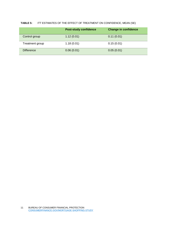#### **TABLE 5:** ITT ESTIMATES OF THE EFFECT OF TREATMENT ON CONFIDENCE, MEAN (SE)

|                   | <b>Post-study confidence</b> | <b>Change in confidence</b> |
|-------------------|------------------------------|-----------------------------|
| Control group     | 1.12(0.01)                   | 0.11(0.01)                  |
| Treatment group   | 1.18(0.01)                   | 0.15(0.01)                  |
| <b>Difference</b> | 0.06(0.01)                   | 0.05(0.01)                  |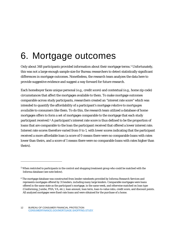### 6. Mortgage outcomes

Only about 348 participants provided information about their mortgage terms.<sup>5</sup> Unfortunately, this was not a large enough sample size for Bureau researchers to detect statistically significant differences in mortgage outcomes. Nonetheless, the research team analyzes the data here to provide suggestive evidence and suggest a way forward for future research.

Each homebuyer faces unique personal (e.g., credit score) and contextual (e.g., home zip code) circumstances that affect the mortgages available to them. To make mortgage outcomes comparable across study participants, researchers created an "interest rate score" which was intended to quantify the affordability of a participant's mortgage *relative to mortgages available to consumers like them*. To do this, the research team utilized a database of home mortgages offers to form a set of mortgages comparable to the mortgage that each study participant received.[6](#page-12-1) A participant's interest rate score is thus defined to be the proportion of loans that are comparable to the loan the participant received that offered a lower interest rate. Interest rate scores therefore varied from 0 to 1, with lower scores indicating that the participant received a more affordable loan (a score of 0 means there were no comparable loans with rates lower than theirs, and a score of 1 means there were no comparable loans with rates higher than theirs).

<span id="page-12-0"></span><sup>5</sup> When restricted to participants in the control and shopping treatment group who could be matched with the Informa database (see note below).

<span id="page-12-1"></span><sup>6</sup> The mortgage database was constructed from lender ratesheets provided by Informa Research Services and represents mortgages offered by 31 lenders, including many large lenders. Comparable mortgages were loans offered in the same state as the participant's mortgage, in the same week, and otherwise matched on loan type (Conforming, Jumbo, FHA, VA, etc.), loan amount, loan term, loan-to-value ratio, credit score, and discount points. All analyzed mortgages were fixed-rate loans and were obtained for the purchase of a home.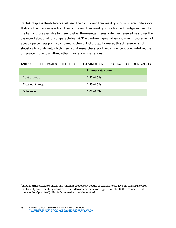Table 6 displays the difference between the control and treatment groups in interest rate score. It shows that, on average, both the control and treatment groups obtained mortgages near the median of those available to them (that is, the average interest rate they received was lower than the rate of about half of comparable loans). The treatment group does show an improvement of about 2 percentage points compared to the control group. However, this difference is not statistically significant, which means that researchers lack the confidence to conclude that the difference is due to anything other than random variations.<sup>[7](#page-13-0)</sup>

#### **TABLE 6:** ITT ESTIMATES OF THE EFFECT OF TREATMENT ON INTEREST RATE SCORES, MEAN (SE)

|                   | Interest rate score |
|-------------------|---------------------|
| Control group     | 0.52(0.02)          |
| Treatment group   | 0.49(0.03)          |
| <b>Difference</b> | 0.02(0.03)          |

<span id="page-13-0"></span><sup>7</sup> Assuming the calculated means and variances are reflective of the population, to achieve the standard level of statistical power, the study would have needed to observe data from approximately 6000 borrowers (t-test, beta=0.80, alpha=0.05). This is far more than the 348 received.